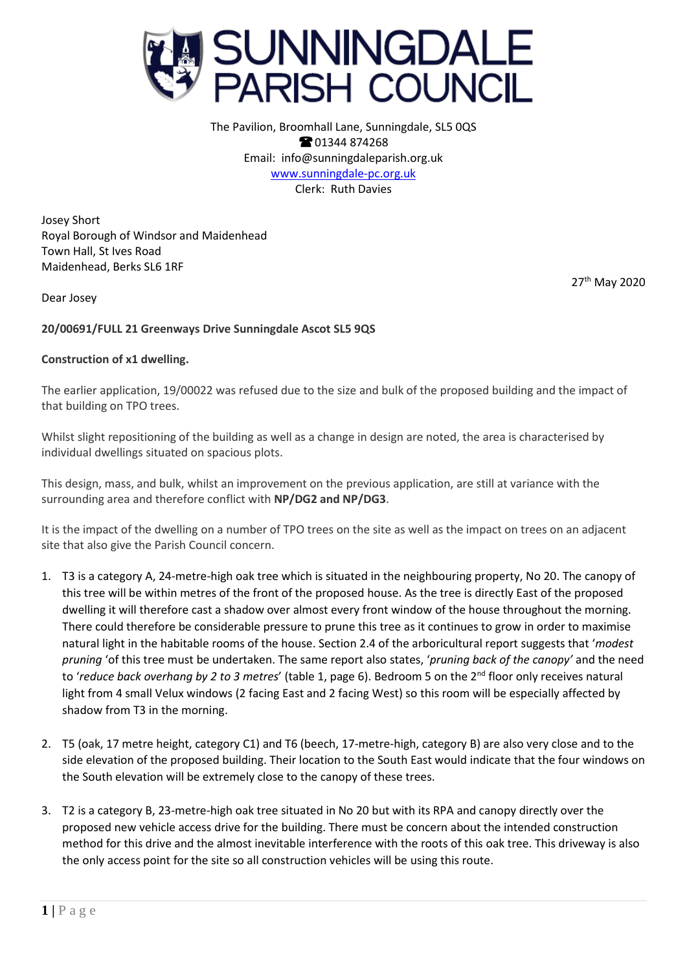

The Pavilion, Broomhall Lane, Sunningdale, SL5 0QS **@01344874268** Email: info@sunningdaleparish.org.uk [www.sunningdale-pc.org.uk](http://www.sunningdale-pc.org.uk/) Clerk: Ruth Davies

Josey Short Royal Borough of Windsor and Maidenhead Town Hall, St Ives Road Maidenhead, Berks SL6 1RF

27th May 2020

Dear Josey

## **20/00691/FULL 21 Greenways Drive Sunningdale Ascot SL5 9QS**

## **Construction of x1 dwelling.**

The earlier application, 19/00022 was refused due to the size and bulk of the proposed building and the impact of that building on TPO trees.

Whilst slight repositioning of the building as well as a change in design are noted, the area is characterised by individual dwellings situated on spacious plots.

This design, mass, and bulk, whilst an improvement on the previous application, are still at variance with the surrounding area and therefore conflict with **NP/DG2 and NP/DG3**.

It is the impact of the dwelling on a number of TPO trees on the site as well as the impact on trees on an adjacent site that also give the Parish Council concern.

- 1. T3 is a category A, 24-metre-high oak tree which is situated in the neighbouring property, No 20. The canopy of this tree will be within metres of the front of the proposed house. As the tree is directly East of the proposed dwelling it will therefore cast a shadow over almost every front window of the house throughout the morning. There could therefore be considerable pressure to prune this tree as it continues to grow in order to maximise natural light in the habitable rooms of the house. Section 2.4 of the arboricultural report suggests that '*modest pruning* 'of this tree must be undertaken. The same report also states, '*pruning back of the canopy'* and the need to 'reduce back overhang by 2 to 3 metres' (table 1, page 6). Bedroom 5 on the 2<sup>nd</sup> floor only receives natural light from 4 small Velux windows (2 facing East and 2 facing West) so this room will be especially affected by shadow from T3 in the morning.
- 2. T5 (oak, 17 metre height, category C1) and T6 (beech, 17-metre-high, category B) are also very close and to the side elevation of the proposed building. Their location to the South East would indicate that the four windows on the South elevation will be extremely close to the canopy of these trees.
- 3. T2 is a category B, 23-metre-high oak tree situated in No 20 but with its RPA and canopy directly over the proposed new vehicle access drive for the building. There must be concern about the intended construction method for this drive and the almost inevitable interference with the roots of this oak tree. This driveway is also the only access point for the site so all construction vehicles will be using this route.